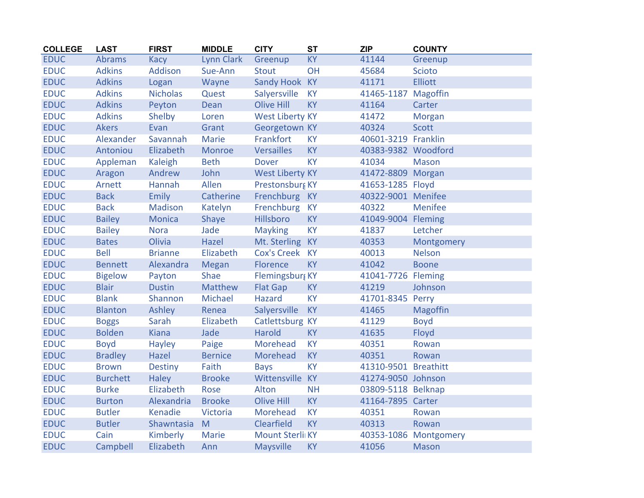| <b>COLLEGE</b> | <b>LAST</b>     | <b>FIRST</b>    | <b>MIDDLE</b>     | <b>CITY</b>            | <b>ST</b> | <b>ZIP</b>           | <b>COUNTY</b>         |
|----------------|-----------------|-----------------|-------------------|------------------------|-----------|----------------------|-----------------------|
| <b>EDUC</b>    | Abrams          | Kacy            | <b>Lynn Clark</b> | Greenup                | <b>KY</b> | 41144                | Greenup               |
| <b>EDUC</b>    | <b>Adkins</b>   | Addison         | Sue-Ann           | <b>Stout</b>           | OH        | 45684                | <b>Scioto</b>         |
| <b>EDUC</b>    | <b>Adkins</b>   | Logan           | Wayne             | Sandy Hook KY          |           | 41171                | <b>Elliott</b>        |
| <b>EDUC</b>    | <b>Adkins</b>   | <b>Nicholas</b> | Quest             | Salyersville           | <b>KY</b> | 41465-1187           | Magoffin              |
| <b>EDUC</b>    | <b>Adkins</b>   | Peyton          | Dean              | <b>Olive Hill</b>      | <b>KY</b> | 41164                | Carter                |
| <b>EDUC</b>    | <b>Adkins</b>   | Shelby          | Loren             | <b>West Liberty KY</b> |           | 41472                | Morgan                |
| <b>EDUC</b>    | <b>Akers</b>    | Evan            | Grant             | Georgetown KY          |           | 40324                | <b>Scott</b>          |
| <b>EDUC</b>    | Alexander       | Savannah        | Marie             | Frankfort              | <b>KY</b> | 40601-3219 Franklin  |                       |
| <b>EDUC</b>    | Antoniou        | Elizabeth       | Monroe            | <b>Versailles</b>      | <b>KY</b> | 40383-9382 Woodford  |                       |
| <b>EDUC</b>    | Appleman        | Kaleigh         | <b>Beth</b>       | <b>Dover</b>           | <b>KY</b> | 41034                | <b>Mason</b>          |
| <b>EDUC</b>    | Aragon          | Andrew          | John              | <b>West Liberty KY</b> |           | 41472-8809 Morgan    |                       |
| <b>EDUC</b>    | Arnett          | Hannah          | Allen             | Prestonsburg KY        |           | 41653-1285 Floyd     |                       |
| <b>EDUC</b>    | <b>Back</b>     | <b>Emily</b>    | Catherine         | Frenchburg KY          |           | 40322-9001 Menifee   |                       |
| <b>EDUC</b>    | <b>Back</b>     | Madison         | Katelyn           | Frenchburg             | <b>KY</b> | 40322                | Menifee               |
| <b>EDUC</b>    | <b>Bailey</b>   | <b>Monica</b>   | Shaye             | Hillsboro              | <b>KY</b> | 41049-9004 Fleming   |                       |
| <b>EDUC</b>    | <b>Bailey</b>   | <b>Nora</b>     | Jade              | <b>Mayking</b>         | <b>KY</b> | 41837                | Letcher               |
| <b>EDUC</b>    | <b>Bates</b>    | Olivia          | Hazel             | Mt. Sterling KY        |           | 40353                | Montgomery            |
| <b>EDUC</b>    | <b>Bell</b>     | <b>Brianne</b>  | Elizabeth         | <b>Cox's Creek</b>     | <b>KY</b> | 40013                | <b>Nelson</b>         |
| <b>EDUC</b>    | <b>Bennett</b>  | Alexandra       | <b>Megan</b>      | Florence               | <b>KY</b> | 41042                | <b>Boone</b>          |
| <b>EDUC</b>    | <b>Bigelow</b>  | Payton          | Shae              | Flemingsburg KY        |           | 41041-7726 Fleming   |                       |
| <b>EDUC</b>    | <b>Blair</b>    | <b>Dustin</b>   | <b>Matthew</b>    | <b>Flat Gap</b>        | <b>KY</b> | 41219                | Johnson               |
| <b>EDUC</b>    | <b>Blank</b>    | Shannon         | Michael           | Hazard                 | <b>KY</b> | 41701-8345 Perry     |                       |
| <b>EDUC</b>    | <b>Blanton</b>  | Ashley          | Renea             | Salyersville           | <b>KY</b> | 41465                | <b>Magoffin</b>       |
| <b>EDUC</b>    | <b>Boggs</b>    | Sarah           | Elizabeth         | Catlettsburg KY        |           | 41129                | <b>Boyd</b>           |
| <b>EDUC</b>    | <b>Bolden</b>   | <b>Kiana</b>    | Jade              | <b>Harold</b>          | <b>KY</b> | 41635                | Floyd                 |
| <b>EDUC</b>    | <b>Boyd</b>     | Hayley          | Paige             | Morehead               | <b>KY</b> | 40351                | Rowan                 |
| <b>EDUC</b>    | <b>Bradley</b>  | Hazel           | <b>Bernice</b>    | Morehead               | <b>KY</b> | 40351                | Rowan                 |
| <b>EDUC</b>    | <b>Brown</b>    | <b>Destiny</b>  | Faith             | <b>Bays</b>            | <b>KY</b> | 41310-9501 Breathitt |                       |
| <b>EDUC</b>    | <b>Burchett</b> | <b>Haley</b>    | <b>Brooke</b>     | Wittensville           | <b>KY</b> | 41274-9050 Johnson   |                       |
| <b>EDUC</b>    | <b>Burke</b>    | Elizabeth       | Rose              | Alton                  | <b>NH</b> | 03809-5118 Belknap   |                       |
| <b>EDUC</b>    | <b>Burton</b>   | Alexandria      | <b>Brooke</b>     | <b>Olive Hill</b>      | <b>KY</b> | 41164-7895 Carter    |                       |
| <b>EDUC</b>    | <b>Butler</b>   | Kenadie         | Victoria          | Morehead               | <b>KY</b> | 40351                | Rowan                 |
| <b>EDUC</b>    | <b>Butler</b>   | Shawntasia      | M                 | Clearfield             | <b>KY</b> | 40313                | Rowan                 |
| <b>EDUC</b>    | Cain            | <b>Kimberly</b> | <b>Marie</b>      | <b>Mount Sterli KY</b> |           |                      | 40353-1086 Montgomery |
| <b>EDUC</b>    | Campbell        | Elizabeth       | Ann               | Maysville              | <b>KY</b> | 41056                | <b>Mason</b>          |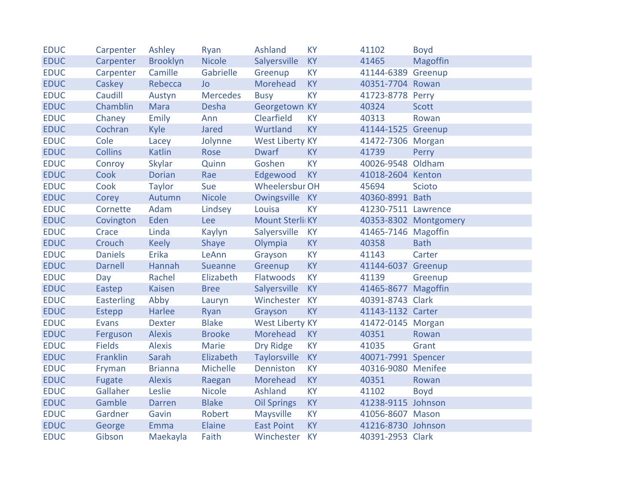| <b>EDUC</b> | Carpenter         | Ashley          | Ryan            | <b>Ashland</b>         | <b>KY</b> | 41102               | <b>Boyd</b>           |
|-------------|-------------------|-----------------|-----------------|------------------------|-----------|---------------------|-----------------------|
| <b>EDUC</b> | Carpenter         | <b>Brooklyn</b> | <b>Nicole</b>   | Salyersville           | <b>KY</b> | 41465               | Magoffin              |
| <b>EDUC</b> | Carpenter         | Camille         | Gabrielle       | Greenup                | <b>KY</b> | 41144-6389 Greenup  |                       |
| <b>EDUC</b> | Caskey            | Rebecca         | <b>Jo</b>       | Morehead               | <b>KY</b> | 40351-7704 Rowan    |                       |
| <b>EDUC</b> | Caudill           | Austyn          | <b>Mercedes</b> | <b>Busy</b>            | <b>KY</b> | 41723-8778 Perry    |                       |
| <b>EDUC</b> | Chamblin          | <b>Mara</b>     | Desha           | Georgetown KY          |           | 40324               | <b>Scott</b>          |
| <b>EDUC</b> | Chaney            | Emily           | Ann             | Clearfield             | <b>KY</b> | 40313               | Rowan                 |
| <b>EDUC</b> | Cochran           | <b>Kyle</b>     | Jared           | Wurtland               | <b>KY</b> | 41144-1525 Greenup  |                       |
| <b>EDUC</b> | Cole              | Lacey           | Jolynne         | <b>West Liberty KY</b> |           | 41472-7306 Morgan   |                       |
| <b>EDUC</b> | <b>Collins</b>    | <b>Katlin</b>   | Rose            | <b>Dwarf</b>           | <b>KY</b> | 41739               | Perry                 |
| <b>EDUC</b> | Conroy            | <b>Skylar</b>   | Quinn           | Goshen                 | <b>KY</b> | 40026-9548 Oldham   |                       |
| <b>EDUC</b> | Cook              | <b>Dorian</b>   | Rae             | Edgewood               | <b>KY</b> | 41018-2604 Kenton   |                       |
| <b>EDUC</b> | Cook              | <b>Taylor</b>   | Sue             | <b>Wheelersbur OH</b>  |           | 45694               | <b>Scioto</b>         |
| <b>EDUC</b> | Corey             | Autumn          | <b>Nicole</b>   | Owingsville KY         |           | 40360-8991 Bath     |                       |
| <b>EDUC</b> | Cornette          | Adam            | Lindsey         | Louisa                 | <b>KY</b> | 41230-7511 Lawrence |                       |
| <b>EDUC</b> | Covington         | Eden            | Lee             | Mount Sterli KY        |           |                     | 40353-8302 Montgomery |
| <b>EDUC</b> | Crace             | Linda           | Kaylyn          | Salyersville           | <b>KY</b> | 41465-7146 Magoffin |                       |
| <b>EDUC</b> | Crouch            | <b>Keely</b>    | Shaye           | Olympia                | <b>KY</b> | 40358               | <b>Bath</b>           |
| <b>EDUC</b> | <b>Daniels</b>    | Erika           | LeAnn           | Grayson                | <b>KY</b> | 41143               | Carter                |
| <b>EDUC</b> | <b>Darnell</b>    | Hannah          | Sueanne         | Greenup                | <b>KY</b> | 41144-6037 Greenup  |                       |
| <b>EDUC</b> | Day               | Rachel          | Elizabeth       | Flatwoods              | <b>KY</b> | 41139               | Greenup               |
| <b>EDUC</b> | Eastep            | <b>Kaisen</b>   | <b>Bree</b>     | Salyersville           | <b>KY</b> | 41465-8677 Magoffin |                       |
| <b>EDUC</b> | <b>Easterling</b> | Abby            | Lauryn          | Winchester             | <b>KY</b> | 40391-8743 Clark    |                       |
| <b>EDUC</b> | Estepp            | Harlee          | Ryan            | Grayson                | <b>KY</b> | 41143-1132 Carter   |                       |
| <b>EDUC</b> | <b>Evans</b>      | <b>Dexter</b>   | <b>Blake</b>    | <b>West Liberty KY</b> |           | 41472-0145 Morgan   |                       |
| <b>EDUC</b> | Ferguson          | <b>Alexis</b>   | <b>Brooke</b>   | Morehead               | <b>KY</b> | 40351               | Rowan                 |
| <b>EDUC</b> | <b>Fields</b>     | <b>Alexis</b>   | Marie           | <b>Dry Ridge</b>       | <b>KY</b> | 41035               | Grant                 |
| <b>EDUC</b> | Franklin          | Sarah           | Elizabeth       | <b>Taylorsville</b>    | <b>KY</b> | 40071-7991 Spencer  |                       |
| <b>EDUC</b> | Fryman            | <b>Brianna</b>  | Michelle        | Denniston              | <b>KY</b> | 40316-9080 Menifee  |                       |
| <b>EDUC</b> | Fugate            | <b>Alexis</b>   | Raegan          | Morehead               | <b>KY</b> | 40351               | Rowan                 |
| <b>EDUC</b> | Gallaher          | Leslie          | <b>Nicole</b>   | Ashland                | <b>KY</b> | 41102               | <b>Boyd</b>           |
| <b>EDUC</b> | Gamble            | <b>Darren</b>   | <b>Blake</b>    | <b>Oil Springs</b>     | <b>KY</b> | 41238-9115 Johnson  |                       |
| <b>EDUC</b> | Gardner           | Gavin           | Robert          | Maysville              | <b>KY</b> | 41056-8607 Mason    |                       |
| <b>EDUC</b> | George            | Emma            | Elaine          | <b>East Point</b>      | <b>KY</b> | 41216-8730 Johnson  |                       |
| <b>EDUC</b> | Gibson            | Maekayla        | Faith           | Winchester             | <b>KY</b> | 40391-2953 Clark    |                       |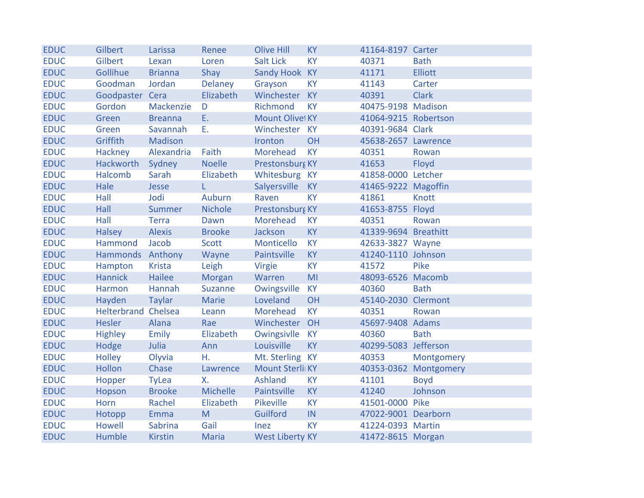| <b>EDUC</b> | Gilbert                    | Larissa        | Renee          | <b>Olive Hill</b>      | <b>KY</b> | 41164-8197 Carter    |                       |
|-------------|----------------------------|----------------|----------------|------------------------|-----------|----------------------|-----------------------|
| <b>EDUC</b> | Gilbert                    | Lexan          | Loren          | <b>Salt Lick</b>       | <b>KY</b> | 40371                | <b>Bath</b>           |
| <b>EDUC</b> | Gollihue                   | <b>Brianna</b> | Shay           | Sandy Hook KY          |           | 41171                | <b>Elliott</b>        |
| <b>EDUC</b> | Goodman                    | Jordan         | Delaney        | Grayson                | <b>KY</b> | 41143                | Carter                |
| <b>EDUC</b> | Goodpaster Cera            |                | Elizabeth      | Winchester KY          |           | 40391                | <b>Clark</b>          |
| <b>EDUC</b> | Gordon                     | Mackenzie      | D              | Richmond               | <b>KY</b> | 40475-9198 Madison   |                       |
| <b>EDUC</b> | Green                      | <b>Breanna</b> | E.             | Mount Olive KY         |           | 41064-9215 Robertson |                       |
| <b>EDUC</b> | Green                      | Savannah       | Ε.             | Winchester KY          |           | 40391-9684 Clark     |                       |
| <b>EDUC</b> | Griffith                   | <b>Madison</b> |                | Ironton                | <b>OH</b> | 45638-2657 Lawrence  |                       |
| <b>EDUC</b> | Hackney                    | Alexandria     | Faith          | Morehead               | <b>KY</b> | 40351                | Rowan                 |
| <b>EDUC</b> | Hackworth                  | Sydney         | <b>Noelle</b>  | Prestonsburg KY        |           | 41653                | Floyd                 |
| <b>EDUC</b> | Halcomb                    | Sarah          | Elizabeth      | Whitesburg KY          |           | 41858-0000 Letcher   |                       |
| <b>EDUC</b> | Hale                       | Jesse          | L.             | Salyersville           | <b>KY</b> | 41465-9222 Magoffin  |                       |
| <b>EDUC</b> | Hall                       | Jodi           | Auburn         | Raven                  | <b>KY</b> | 41861                | Knott                 |
| <b>EDUC</b> | Hall                       | <b>Summer</b>  | <b>Nichole</b> | Prestonsburg KY        |           | 41653-8755 Floyd     |                       |
| <b>EDUC</b> | Hall                       | <b>Terra</b>   | Dawn           | Morehead               | <b>KY</b> | 40351                | Rowan                 |
| <b>EDUC</b> | <b>Halsey</b>              | <b>Alexis</b>  | <b>Brooke</b>  | Jackson                | <b>KY</b> | 41339-9694 Breathitt |                       |
| <b>EDUC</b> | Hammond                    | Jacob          | Scott          | Monticello             | <b>KY</b> | 42633-3827 Wayne     |                       |
| <b>EDUC</b> | Hammonds Anthony           |                | Wayne          | Paintsville            | <b>KY</b> | 41240-1110 Johnson   |                       |
| <b>EDUC</b> | Hampton                    | <b>Krista</b>  | Leigh          | Virgie                 | KY        | 41572                | Pike                  |
| <b>EDUC</b> | <b>Hannick</b>             | Hailee         | Morgan         | Warren                 | MI        | 48093-6526 Macomb    |                       |
| <b>EDUC</b> | Harmon                     | Hannah         | Suzanne        | Owingsville            | <b>KY</b> | 40360                | <b>Bath</b>           |
| <b>EDUC</b> | Hayden                     | <b>Taylar</b>  | Marie          | Loveland               | OH        | 45140-2030 Clermont  |                       |
| <b>EDUC</b> | <b>Helterbrand Chelsea</b> |                | Leann          | Morehead               | <b>KY</b> | 40351                | Rowan                 |
| <b>EDUC</b> | <b>Hesler</b>              | Alana          | Rae            | Winchester             | OH        | 45697-9408 Adams     |                       |
| <b>EDUC</b> | <b>Highley</b>             | <b>Emily</b>   | Elizabeth      | Owingsivlle            | <b>KY</b> | 40360                | <b>Bath</b>           |
| <b>EDUC</b> | Hodge                      | Julia          | Ann            | Louisville             | <b>KY</b> | 40299-5083 Jefferson |                       |
| <b>EDUC</b> | <b>Holley</b>              | Olyvia         | Η.             | Mt. Sterling KY        |           | 40353                | Montgomery            |
| <b>EDUC</b> | <b>Hollon</b>              | Chase          | Lawrence       | Mount Sterli KY        |           |                      | 40353-0362 Montgomery |
| <b>EDUC</b> | Hopper                     | <b>TyLea</b>   | Х.             | Ashland                | <b>KY</b> | 41101                | <b>Boyd</b>           |
| <b>EDUC</b> | Hopson                     | <b>Brooke</b>  | Michelle       | Paintsville            | <b>KY</b> | 41240                | Johnson               |
| <b>EDUC</b> | Horn                       | Rachel         | Elizabeth      | Pikeville              | <b>KY</b> | 41501-0000 Pike      |                       |
| <b>EDUC</b> | Hotopp                     | <b>Emma</b>    | M              | Guilford               | IN        | 47022-9001 Dearborn  |                       |
| <b>EDUC</b> | <b>Howell</b>              | Sabrina        | Gail           | Inez                   | <b>KY</b> | 41224-0393 Martin    |                       |
| <b>EDUC</b> | Humble                     | <b>Kirstin</b> | <b>Maria</b>   | <b>West Liberty KY</b> |           | 41472-8615 Morgan    |                       |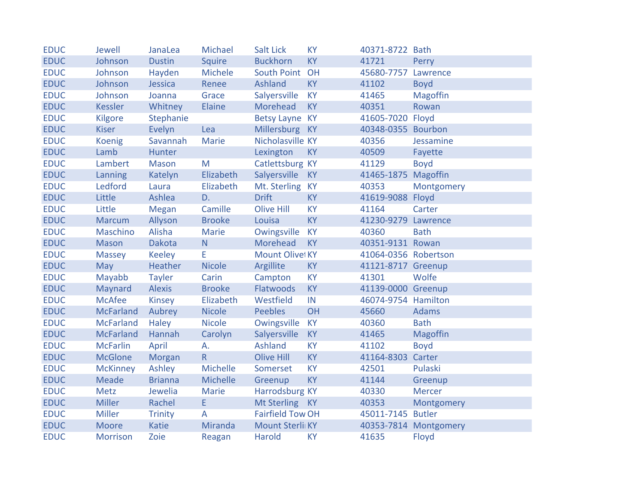| <b>EDUC</b> | Jewell           | JanaLea        | Michael       | <b>Salt Lick</b>        | <b>KY</b> | 40371-8722 Bath      |                       |
|-------------|------------------|----------------|---------------|-------------------------|-----------|----------------------|-----------------------|
| <b>EDUC</b> | Johnson          | <b>Dustin</b>  | Squire        | <b>Buckhorn</b>         | <b>KY</b> | 41721                | Perry                 |
| <b>EDUC</b> | Johnson          | Hayden         | Michele       | South Point             | OH        | 45680-7757           | Lawrence              |
| <b>EDUC</b> | Johnson          | Jessica        | Renee         | Ashland                 | <b>KY</b> | 41102                | <b>Boyd</b>           |
| <b>EDUC</b> | Johnson          | Joanna         | Grace         | Salyersville            | <b>KY</b> | 41465                | Magoffin              |
| <b>EDUC</b> | <b>Kessler</b>   | Whitney        | Elaine        | Morehead                | <b>KY</b> | 40351                | Rowan                 |
| <b>EDUC</b> | Kilgore          | Stephanie      |               | Betsy Layne KY          |           | 41605-7020 Floyd     |                       |
| <b>EDUC</b> | <b>Kiser</b>     | Evelyn         | Lea           | <b>Millersburg</b>      | KY        | 40348-0355 Bourbon   |                       |
| <b>EDUC</b> | <b>Koenig</b>    | Savannah       | <b>Marie</b>  | Nicholasville KY        |           | 40356                | Jessamine             |
| <b>EDUC</b> | Lamb             | Hunter         |               | Lexington               | <b>KY</b> | 40509                | Fayette               |
| <b>EDUC</b> | Lambert          | <b>Mason</b>   | M             | Catlettsburg KY         |           | 41129                | <b>Boyd</b>           |
| <b>EDUC</b> | Lanning          | Katelyn        | Elizabeth     | Salyersville            | <b>KY</b> | 41465-1875 Magoffin  |                       |
| <b>EDUC</b> | Ledford          | Laura          | Elizabeth     | Mt. Sterling            | <b>KY</b> | 40353                | Montgomery            |
| <b>EDUC</b> | Little           | Ashlea         | D.            | <b>Drift</b>            | <b>KY</b> | 41619-9088 Floyd     |                       |
| <b>EDUC</b> | Little           | Megan          | Camille       | <b>Olive Hill</b>       | <b>KY</b> | 41164                | Carter                |
| <b>EDUC</b> | <b>Marcum</b>    | Allyson        | <b>Brooke</b> | Louisa                  | <b>KY</b> | 41230-9279           | Lawrence              |
| <b>EDUC</b> | Maschino         | Alisha         | <b>Marie</b>  | Owingsville             | <b>KY</b> | 40360                | <b>Bath</b>           |
| <b>EDUC</b> | <b>Mason</b>     | Dakota         | N             | Morehead                | <b>KY</b> | 40351-9131 Rowan     |                       |
| <b>EDUC</b> | <b>Massey</b>    | <b>Keeley</b>  | E.            | Mount Olive KY          |           | 41064-0356 Robertson |                       |
| <b>EDUC</b> | May              | Heather        | <b>Nicole</b> | Argillite               | <b>KY</b> | 41121-8717 Greenup   |                       |
| <b>EDUC</b> | Mayabb           | <b>Tayler</b>  | Carin         | Campton                 | <b>KY</b> | 41301                | Wolfe                 |
| <b>EDUC</b> | Maynard          | <b>Alexis</b>  | <b>Brooke</b> | Flatwoods               | <b>KY</b> | 41139-0000 Greenup   |                       |
| <b>EDUC</b> | <b>McAfee</b>    | Kinsey         | Elizabeth     | Westfield               | IN        | 46074-9754 Hamilton  |                       |
| <b>EDUC</b> | <b>McFarland</b> | Aubrey         | <b>Nicole</b> | <b>Peebles</b>          | OH        | 45660                | <b>Adams</b>          |
| <b>EDUC</b> | <b>McFarland</b> | <b>Haley</b>   | <b>Nicole</b> | Owingsville             | <b>KY</b> | 40360                | <b>Bath</b>           |
| <b>EDUC</b> | <b>McFarland</b> | Hannah         | Carolyn       | Salyersville            | <b>KY</b> | 41465                | <b>Magoffin</b>       |
| <b>EDUC</b> | <b>McFarlin</b>  | April          | А.            | Ashland                 | KY        | 41102                | <b>Boyd</b>           |
| <b>EDUC</b> | <b>McGlone</b>   | Morgan         | $\mathsf{R}$  | <b>Olive Hill</b>       | <b>KY</b> | 41164-8303           | Carter                |
| <b>EDUC</b> | <b>McKinney</b>  | Ashley         | Michelle      | Somerset                | <b>KY</b> | 42501                | Pulaski               |
| <b>EDUC</b> | <b>Meade</b>     | <b>Brianna</b> | Michelle      | Greenup                 | <b>KY</b> | 41144                | Greenup               |
| <b>EDUC</b> | Metz             | Jewelia        | Marie         | Harrodsburg KY          |           | 40330                | <b>Mercer</b>         |
| <b>EDUC</b> | <b>Miller</b>    | Rachel         | E             | Mt Sterling             | <b>KY</b> | 40353                | Montgomery            |
| <b>EDUC</b> | Miller           | <b>Trinity</b> | A             | <b>Fairfield Tow OH</b> |           | 45011-7145 Butler    |                       |
| <b>EDUC</b> | <b>Moore</b>     | <b>Katie</b>   | Miranda       | Mount Sterli KY         |           |                      | 40353-7814 Montgomery |
| <b>EDUC</b> | <b>Morrison</b>  | Zoie           | Reagan        | Harold                  | <b>KY</b> | 41635                | Floyd                 |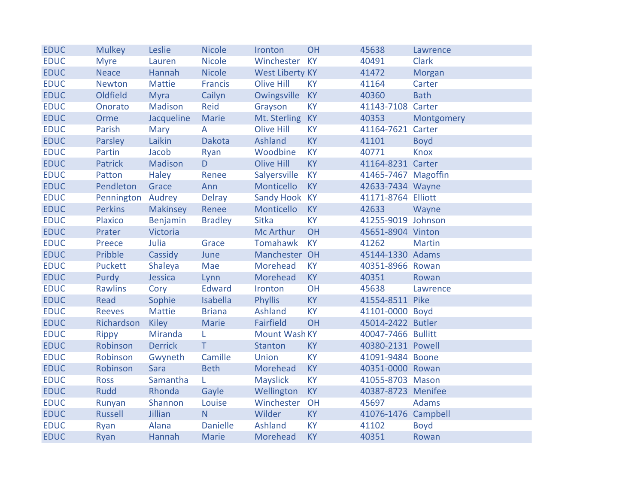| <b>EDUC</b> | <b>Mulkey</b>     | Leslie         | <b>Nicole</b>   | Ironton                | OH        | 45638               | Lawrence      |
|-------------|-------------------|----------------|-----------------|------------------------|-----------|---------------------|---------------|
| <b>EDUC</b> | <b>Myre</b>       | Lauren         | <b>Nicole</b>   | Winchester KY          |           | 40491               | <b>Clark</b>  |
| <b>EDUC</b> | <b>Neace</b>      | Hannah         | <b>Nicole</b>   | <b>West Liberty KY</b> |           | 41472               | Morgan        |
| <b>EDUC</b> | <b>Newton</b>     | <b>Mattie</b>  | <b>Francis</b>  | <b>Olive Hill</b>      | <b>KY</b> | 41164               | Carter        |
| <b>EDUC</b> | Oldfield          | <b>Myra</b>    | Cailyn          | Owingsville            | <b>KY</b> | 40360               | <b>Bath</b>   |
| <b>EDUC</b> | Onorato           | Madison        | <b>Reid</b>     | Grayson                | <b>KY</b> | 41143-7108 Carter   |               |
| <b>EDUC</b> | Orme              | Jacqueline     | Marie           | Mt. Sterling           | <b>KY</b> | 40353               | Montgomery    |
| <b>EDUC</b> | Parish            | Mary           | A               | <b>Olive Hill</b>      | <b>KY</b> | 41164-7621          | Carter        |
| <b>EDUC</b> | Parsley           | Laikin         | <b>Dakota</b>   | <b>Ashland</b>         | <b>KY</b> | 41101               | <b>Boyd</b>   |
| <b>EDUC</b> | Partin            | Jacob          | Ryan            | Woodbine               | <b>KY</b> | 40771               | <b>Knox</b>   |
| <b>EDUC</b> | <b>Patrick</b>    | Madison        | D               | <b>Olive Hill</b>      | <b>KY</b> | 41164-8231 Carter   |               |
| <b>EDUC</b> | Patton            | <b>Haley</b>   | Renee           | Salyersville           | <b>KY</b> | 41465-7467 Magoffin |               |
| <b>EDUC</b> | Pendleton         | Grace          | Ann             | Monticello             | <b>KY</b> | 42633-7434 Wayne    |               |
| <b>EDUC</b> | Pennington Audrey |                | <b>Delray</b>   | Sandy Hook KY          |           | 41171-8764 Elliott  |               |
| <b>EDUC</b> | <b>Perkins</b>    | Makinsey       | Renee           | Monticello             | <b>KY</b> | 42633               | Wayne         |
| <b>EDUC</b> | <b>Plaxico</b>    | Benjamin       | <b>Bradley</b>  | <b>Sitka</b>           | <b>KY</b> | 41255-9019 Johnson  |               |
| <b>EDUC</b> | Prater            | Victoria       |                 | <b>Mc Arthur</b>       | OH        | 45651-8904 Vinton   |               |
| <b>EDUC</b> | Preece            | Julia          | Grace           | Tomahawk               | <b>KY</b> | 41262               | <b>Martin</b> |
| <b>EDUC</b> | Pribble           | Cassidy        | June            | Manchester OH          |           | 45144-1330 Adams    |               |
| <b>EDUC</b> | Puckett           | Shaleya        | Mae             | Morehead               | <b>KY</b> | 40351-8966 Rowan    |               |
| <b>EDUC</b> | Purdy             | Jessica        | Lynn            | Morehead               | <b>KY</b> | 40351               | Rowan         |
| <b>EDUC</b> | <b>Rawlins</b>    | Cory           | <b>Edward</b>   | Ironton                | OH        | 45638               | Lawrence      |
| <b>EDUC</b> | Read              | Sophie         | Isabella        | <b>Phyllis</b>         | <b>KY</b> | 41554-8511 Pike     |               |
| <b>EDUC</b> | <b>Reeves</b>     | <b>Mattie</b>  | <b>Briana</b>   | Ashland                | <b>KY</b> | 41101-0000 Boyd     |               |
| <b>EDUC</b> | Richardson        | <b>Kiley</b>   | <b>Marie</b>    | Fairfield              | OH        | 45014-2422 Butler   |               |
| <b>EDUC</b> | <b>Rippy</b>      | Miranda        | L               | <b>Mount Wash KY</b>   |           | 40047-7466 Bullitt  |               |
| <b>EDUC</b> | Robinson          | <b>Derrick</b> | T.              | <b>Stanton</b>         | <b>KY</b> | 40380-2131 Powell   |               |
| <b>EDUC</b> | Robinson          | Gwyneth        | Camille         | Union                  | <b>KY</b> | 41091-9484 Boone    |               |
| <b>EDUC</b> | Robinson          | Sara           | <b>Beth</b>     | Morehead               | <b>KY</b> | 40351-0000 Rowan    |               |
| <b>EDUC</b> | <b>Ross</b>       | Samantha       | L               | <b>Mayslick</b>        | <b>KY</b> | 41055-8703 Mason    |               |
| <b>EDUC</b> | <b>Rudd</b>       | Rhonda         | Gayle           | Wellington             | <b>KY</b> | 40387-8723 Menifee  |               |
| <b>EDUC</b> | Runyan            | Shannon        | Louise          | Winchester             | OH        | 45697               | <b>Adams</b>  |
| <b>EDUC</b> | <b>Russell</b>    | Jillian        | N.              | Wilder                 | <b>KY</b> | 41076-1476 Campbell |               |
| <b>EDUC</b> | Ryan              | Alana          | <b>Danielle</b> | Ashland                | <b>KY</b> | 41102               | <b>Boyd</b>   |
| <b>EDUC</b> | Ryan              | Hannah         | <b>Marie</b>    | Morehead               | <b>KY</b> | 40351               | Rowan         |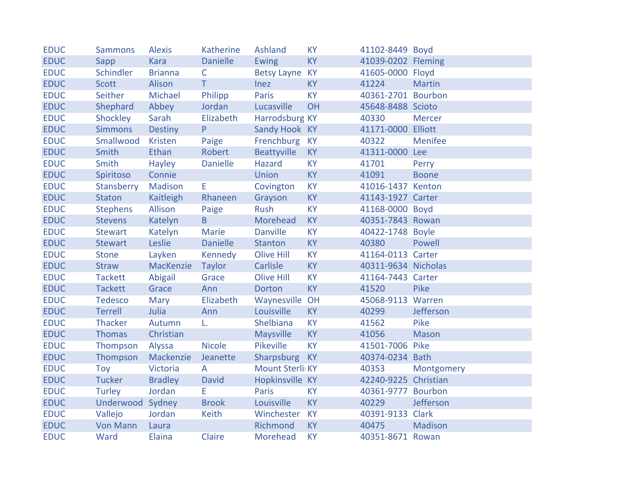| <b>EDUC</b> | <b>Sammons</b>   | <b>Alexis</b>  | <b>Katherine</b> | Ashland           | <b>KY</b> | 41102-8449 Boyd      |                |
|-------------|------------------|----------------|------------------|-------------------|-----------|----------------------|----------------|
| <b>EDUC</b> | Sapp             | <b>Kara</b>    | <b>Danielle</b>  | Ewing             | <b>KY</b> | 41039-0202 Fleming   |                |
| <b>EDUC</b> | Schindler        | <b>Brianna</b> | $\mathsf{C}$     | Betsy Layne KY    |           | 41605-0000 Floyd     |                |
| <b>EDUC</b> | Scott            | Alison         | T.               | <b>Inez</b>       | <b>KY</b> | 41224                | <b>Martin</b>  |
| <b>EDUC</b> | Seither          | Michael        | Philipp          | <b>Paris</b>      | <b>KY</b> | 40361-2701 Bourbon   |                |
| <b>EDUC</b> | Shephard         | Abbey          | Jordan           | Lucasville        | OH        | 45648-8488 Scioto    |                |
| <b>EDUC</b> | Shockley         | Sarah          | Elizabeth        | Harrodsburg KY    |           | 40330                | <b>Mercer</b>  |
| <b>EDUC</b> | <b>Simmons</b>   | <b>Destiny</b> | P                | Sandy Hook KY     |           | 41171-0000 Elliott   |                |
| <b>EDUC</b> | Smallwood        | Kristen        | Paige            | Frenchburg KY     |           | 40322                | <b>Menifee</b> |
| <b>EDUC</b> | <b>Smith</b>     | <b>Ethan</b>   | Robert           | Beattyville       | <b>KY</b> | 41311-0000 Lee       |                |
| <b>EDUC</b> | Smith            | Hayley         | <b>Danielle</b>  | Hazard            | <b>KY</b> | 41701                | Perry          |
| <b>EDUC</b> | Spiritoso        | Connie         |                  | <b>Union</b>      | <b>KY</b> | 41091                | <b>Boone</b>   |
| <b>EDUC</b> | Stansberry       | Madison        | E                | Covington         | <b>KY</b> | 41016-1437 Kenton    |                |
| <b>EDUC</b> | <b>Staton</b>    | Kaitleigh      | Rhaneen          | Grayson           | <b>KY</b> | 41143-1927 Carter    |                |
| <b>EDUC</b> | <b>Stephens</b>  | Allison        | Paige            | Rush              | <b>KY</b> | 41168-0000 Boyd      |                |
| <b>EDUC</b> | <b>Stevens</b>   | Katelyn        | B                | Morehead          | <b>KY</b> | 40351-7843 Rowan     |                |
| <b>EDUC</b> | <b>Stewart</b>   | Katelyn        | Marie            | <b>Danville</b>   | <b>KY</b> | 40422-1748 Boyle     |                |
| <b>EDUC</b> | <b>Stewart</b>   | Leslie         | <b>Danielle</b>  | Stanton           | <b>KY</b> | 40380                | Powell         |
| <b>EDUC</b> | <b>Stone</b>     | Layken         | Kennedy          | Olive Hill        | <b>KY</b> | 41164-0113 Carter    |                |
| <b>EDUC</b> | <b>Straw</b>     | MacKenzie      | Taylor           | Carlisle          | <b>KY</b> | 40311-9634 Nicholas  |                |
| <b>EDUC</b> | <b>Tackett</b>   | Abigail        | Grace            | <b>Olive Hill</b> | <b>KY</b> | 41164-7443 Carter    |                |
| <b>EDUC</b> | <b>Tackett</b>   | Grace          | Ann              | Dorton            | <b>KY</b> | 41520                | Pike           |
| <b>EDUC</b> | <b>Tedesco</b>   | Mary           | Elizabeth        | Waynesville OH    |           | 45068-9113 Warren    |                |
| <b>EDUC</b> | <b>Terrell</b>   | Julia          | Ann              | Louisville        | <b>KY</b> | 40299                | Jefferson      |
| <b>EDUC</b> | <b>Thacker</b>   | Autumn         | L.               | Shelbiana         | <b>KY</b> | 41562                | Pike           |
| <b>EDUC</b> | <b>Thomas</b>    | Christian      |                  | <b>Maysville</b>  | <b>KY</b> | 41056                | <b>Mason</b>   |
| <b>EDUC</b> | Thompson         | Alyssa         | <b>Nicole</b>    | Pikeville         | <b>KY</b> | 41501-7006 Pike      |                |
| <b>EDUC</b> | Thompson         | Mackenzie      | Jeanette         | Sharpsburg KY     |           | 40374-0234 Bath      |                |
| <b>EDUC</b> | Toy              | Victoria       | $\mathsf{A}$     | Mount Sterli KY   |           | 40353                | Montgomery     |
| <b>EDUC</b> | <b>Tucker</b>    | <b>Bradley</b> | <b>David</b>     | Hopkinsville KY   |           | 42240-9225 Christian |                |
| <b>EDUC</b> | Turley           | Jordan         | E.               | Paris             | <b>KY</b> | 40361-9777 Bourbon   |                |
| <b>EDUC</b> | Underwood Sydney |                | <b>Brook</b>     | Louisville        | <b>KY</b> | 40229                | Jefferson      |
| <b>EDUC</b> | Vallejo          | Jordan         | Keith            | Winchester        | <b>KY</b> | 40391-9133 Clark     |                |
| <b>EDUC</b> | <b>Von Mann</b>  | Laura          |                  | Richmond          | <b>KY</b> | 40475                | <b>Madison</b> |
| <b>EDUC</b> | Ward             | <b>Elaina</b>  | Claire           | <b>Morehead</b>   | <b>KY</b> | 40351-8671 Rowan     |                |